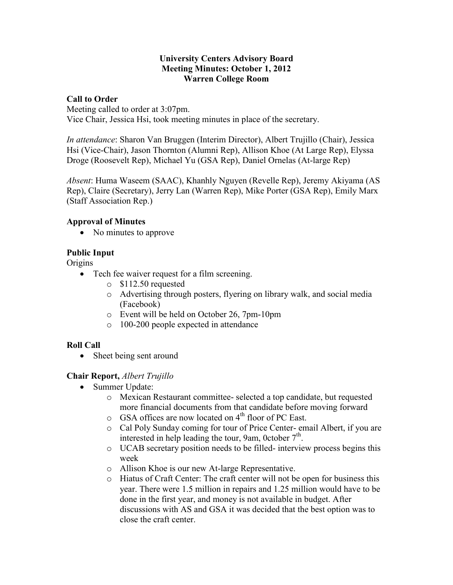#### **University Centers Advisory Board Meeting Minutes: October 1, 2012 Warren College Room**

#### **Call to Order**

Meeting called to order at 3:07pm. Vice Chair, Jessica Hsi, took meeting minutes in place of the secretary.

*In attendance*: Sharon Van Bruggen (Interim Director), Albert Trujillo (Chair), Jessica Hsi (Vice-Chair), Jason Thornton (Alumni Rep), Allison Khoe (At Large Rep), Elyssa Droge (Roosevelt Rep), Michael Yu (GSA Rep), Daniel Ornelas (At-large Rep)

*Absent*: Huma Waseem (SAAC), Khanhly Nguyen (Revelle Rep), Jeremy Akiyama (AS Rep), Claire (Secretary), Jerry Lan (Warren Rep), Mike Porter (GSA Rep), Emily Marx (Staff Association Rep.)

### **Approval of Minutes**

• No minutes to approve

## **Public Input**

**Origins** 

- Tech fee waiver request for a film screening.
	- o \$112.50 requested
	- o Advertising through posters, flyering on library walk, and social media (Facebook)
	- o Event will be held on October 26, 7pm-10pm
	- o 100-200 people expected in attendance

### **Roll Call**

• Sheet being sent around

#### **Chair Report,** *Albert Trujillo*

- Summer Update:
	- o Mexican Restaurant committee- selected a top candidate, but requested more financial documents from that candidate before moving forward
	- $\circ$  GSA offices are now located on 4<sup>th</sup> floor of PC East.
	- o Cal Poly Sunday coming for tour of Price Center- email Albert, if you are interested in help leading the tour, 9am, 0ctober  $7<sup>th</sup>$ .
	- o UCAB secretary position needs to be filled- interview process begins this week
	- o Allison Khoe is our new At-large Representative.
	- o Hiatus of Craft Center: The craft center will not be open for business this year. There were 1.5 million in repairs and 1.25 million would have to be done in the first year, and money is not available in budget. After discussions with AS and GSA it was decided that the best option was to close the craft center.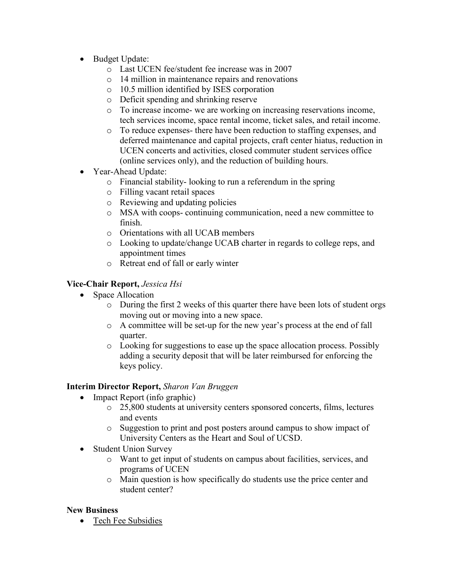- Budget Update:
	- o Last UCEN fee/student fee increase was in 2007
	- o 14 million in maintenance repairs and renovations
	- o 10.5 million identified by ISES corporation
	- o Deficit spending and shrinking reserve
	- o To increase income- we are working on increasing reservations income, tech services income, space rental income, ticket sales, and retail income.
	- o To reduce expenses- there have been reduction to staffing expenses, and deferred maintenance and capital projects, craft center hiatus, reduction in UCEN concerts and activities, closed commuter student services office (online services only), and the reduction of building hours.
- Year-Ahead Update:
	- o Financial stability- looking to run a referendum in the spring
	- o Filling vacant retail spaces
	- o Reviewing and updating policies
	- o MSA with coops- continuing communication, need a new committee to finish.
	- o Orientations with all UCAB members
	- o Looking to update/change UCAB charter in regards to college reps, and appointment times
	- o Retreat end of fall or early winter

### **Vice-Chair Report,** *Jessica Hsi*

- Space Allocation
	- o During the first 2 weeks of this quarter there have been lots of student orgs moving out or moving into a new space.
	- o A committee will be set-up for the new year's process at the end of fall quarter.
	- o Looking for suggestions to ease up the space allocation process. Possibly adding a security deposit that will be later reimbursed for enforcing the keys policy.

### **Interim Director Report,** *Sharon Van Bruggen*

- Impact Report (info graphic)
	- o 25,800 students at university centers sponsored concerts, films, lectures and events
	- o Suggestion to print and post posters around campus to show impact of University Centers as the Heart and Soul of UCSD.
- Student Union Survey
	- o Want to get input of students on campus about facilities, services, and programs of UCEN
	- o Main question is how specifically do students use the price center and student center?

### **New Business**

• Tech Fee Subsidies